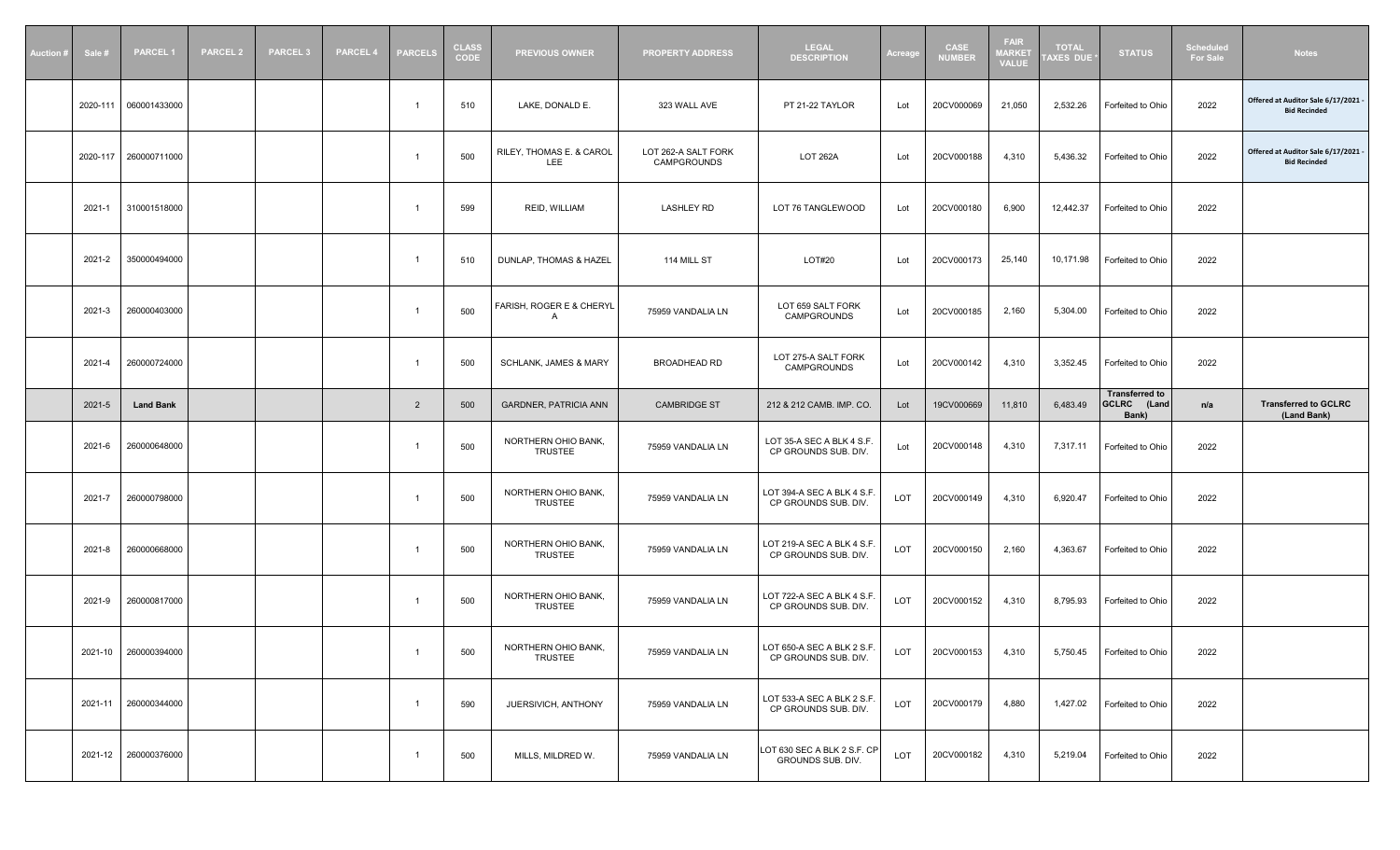| <b>Auction#</b><br>Sale # | <b>PARCEL1</b>       | <b>PARCEL 2</b> | <b>PARCEL 3</b> | <b>PARCEL 4</b> | <b>PARCELS</b> | <b>CLASS</b><br><b>CODE</b> | <b>PREVIOUS OWNER</b>                 | <b>PROPERTY ADDRESS</b>            | <b>LEGAL</b><br><b>DESCRIPTION</b>                 | Acreage | <b>CASE</b><br><b>NUMBER</b> | <b>FAIR</b><br>1ARKET<br>VALUE | <b>TOTAL</b><br>AXES DUE | <b>STATUS</b>                                 | <b>Scheduled</b><br><b>For Sale</b> | <b>Notes</b>                                             |
|---------------------------|----------------------|-----------------|-----------------|-----------------|----------------|-----------------------------|---------------------------------------|------------------------------------|----------------------------------------------------|---------|------------------------------|--------------------------------|--------------------------|-----------------------------------------------|-------------------------------------|----------------------------------------------------------|
| 2020-111                  | 060001433000         |                 |                 |                 |                | 510                         | LAKE, DONALD E.                       | 323 WALL AVE                       | PT 21-22 TAYLOR                                    | Lot     | 20CV000069                   | 21,050                         | 2,532.26                 | Forfeited to Ohio                             | 2022                                | Offered at Auditor Sale 6/17/2021<br><b>Bid Recinded</b> |
| 2020-117                  | 260000711000         |                 |                 |                 |                | 500                         | RILEY, THOMAS E. & CAROL<br>LEE       | LOT 262-A SALT FORK<br>CAMPGROUNDS | <b>LOT 262A</b>                                    | Lot     | 20CV000188                   | 4,310                          | 5,436.32                 | Forfeited to Ohio                             | 2022                                | Offered at Auditor Sale 6/17/2021<br><b>Bid Recinded</b> |
| 2021-1                    | 310001518000         |                 |                 |                 | -1             | 599                         | REID, WILLIAM                         | <b>LASHLEY RD</b>                  | LOT 76 TANGLEWOOD                                  | Lot     | 20CV000180                   | 6,900                          | 12,442.37                | Forfeited to Ohio                             | 2022                                |                                                          |
| 2021-2                    | 350000494000         |                 |                 |                 |                | 510                         | DUNLAP, THOMAS & HAZEL                | 114 MILL ST                        | LOT#20                                             | Lot     | 20CV000173                   | 25,140                         | 10,171.98                | Forfeited to Ohio                             | 2022                                |                                                          |
| 2021-3                    | 260000403000         |                 |                 |                 | - 1            | 500                         | FARISH, ROGER E & CHERYL<br>A         | 75959 VANDALIA LN                  | LOT 659 SALT FORK<br>CAMPGROUNDS                   | Lot     | 20CV000185                   | 2,160                          | 5,304.00                 | Forfeited to Ohio                             | 2022                                |                                                          |
| 2021-4                    | 260000724000         |                 |                 |                 | - 1            | 500                         | <b>SCHLANK, JAMES &amp; MARY</b>      | BROADHEAD RD                       | LOT 275-A SALT FORK<br>CAMPGROUNDS                 | Lot     | 20CV000142                   | 4,310                          | 3,352.45                 | Forfeited to Ohio                             | 2022                                |                                                          |
| 2021-5                    | <b>Land Bank</b>     |                 |                 |                 | $\overline{2}$ | 500                         | <b>GARDNER, PATRICIA ANN</b>          | <b>CAMBRIDGE ST</b>                | 212 & 212 CAMB. IMP. CO.                           | Lot     | 19CV000669                   | 11,810                         | 6,483.49                 | <b>Transferred to</b><br>GCLRC (Land<br>Bank) | n/a                                 | <b>Transferred to GCLRC</b><br>(Land Bank)               |
| 2021-6                    | 260000648000         |                 |                 |                 |                | 500                         | NORTHERN OHIO BANK,<br><b>TRUSTEE</b> | 75959 VANDALIA LN                  | LOT 35-A SEC A BLK 4 S.F.<br>CP GROUNDS SUB. DIV.  | Lot     | 20CV000148                   | 4,310                          | 7,317.11                 | Forfeited to Ohio                             | 2022                                |                                                          |
| 2021-7                    | 260000798000         |                 |                 |                 |                | 500                         | NORTHERN OHIO BANK,<br><b>TRUSTEE</b> | 75959 VANDALIA LN                  | LOT 394-A SEC A BLK 4 S.F.<br>CP GROUNDS SUB. DIV. | LOT     | 20CV000149                   | 4,310                          | 6,920.47                 | Forfeited to Ohio                             | 2022                                |                                                          |
| 2021-8                    | 260000668000         |                 |                 |                 |                | 500                         | NORTHERN OHIO BANK,<br><b>TRUSTEE</b> | 75959 VANDALIA LN                  | LOT 219-A SEC A BLK 4 S.F<br>CP GROUNDS SUB. DIV.  | LOT     | 20CV000150                   | 2,160                          | 4,363.67                 | Forfeited to Ohio                             | 2022                                |                                                          |
| 2021-9                    | 260000817000         |                 |                 |                 |                | 500                         | NORTHERN OHIO BANK,<br><b>TRUSTEE</b> | 75959 VANDALIA LN                  | LOT 722-A SEC A BLK 4 S.F<br>CP GROUNDS SUB. DIV.  | LOT     | 20CV000152                   | 4,310                          | 8,795.93                 | Forfeited to Ohio                             | 2022                                |                                                          |
|                           | 2021-10 260000394000 |                 |                 |                 |                | 500                         | NORTHERN OHIO BANK<br>TRUSTEE         | 75959 VANDALIA LN                  | LOT 650-A SEC A BLK 2 S.F.<br>CP GROUNDS SUB. DIV. | LOT     | 20CV000153                   | 4,310                          |                          | 5,750.45   Forfeited to Ohio                  | 2022                                |                                                          |
|                           | 2021-11 260000344000 |                 |                 |                 | $\overline{1}$ | 590                         | JUERSIVICH, ANTHONY                   | 75959 VANDALIA LN                  | LOT 533-A SEC A BLK 2 S.F.<br>CP GROUNDS SUB. DIV. | LOT     | 20CV000179                   | 4,880                          | 1,427.02                 | Forfeited to Ohio                             | 2022                                |                                                          |
|                           | 2021-12 260000376000 |                 |                 |                 |                | 500                         | MILLS, MILDRED W.                     | 75959 VANDALIA LN                  | LOT 630 SEC A BLK 2 S.F. CP<br>GROUNDS SUB. DIV.   | LOT     | 20CV000182                   | 4,310                          | 5,219.04                 | Forfeited to Ohio                             | 2022                                |                                                          |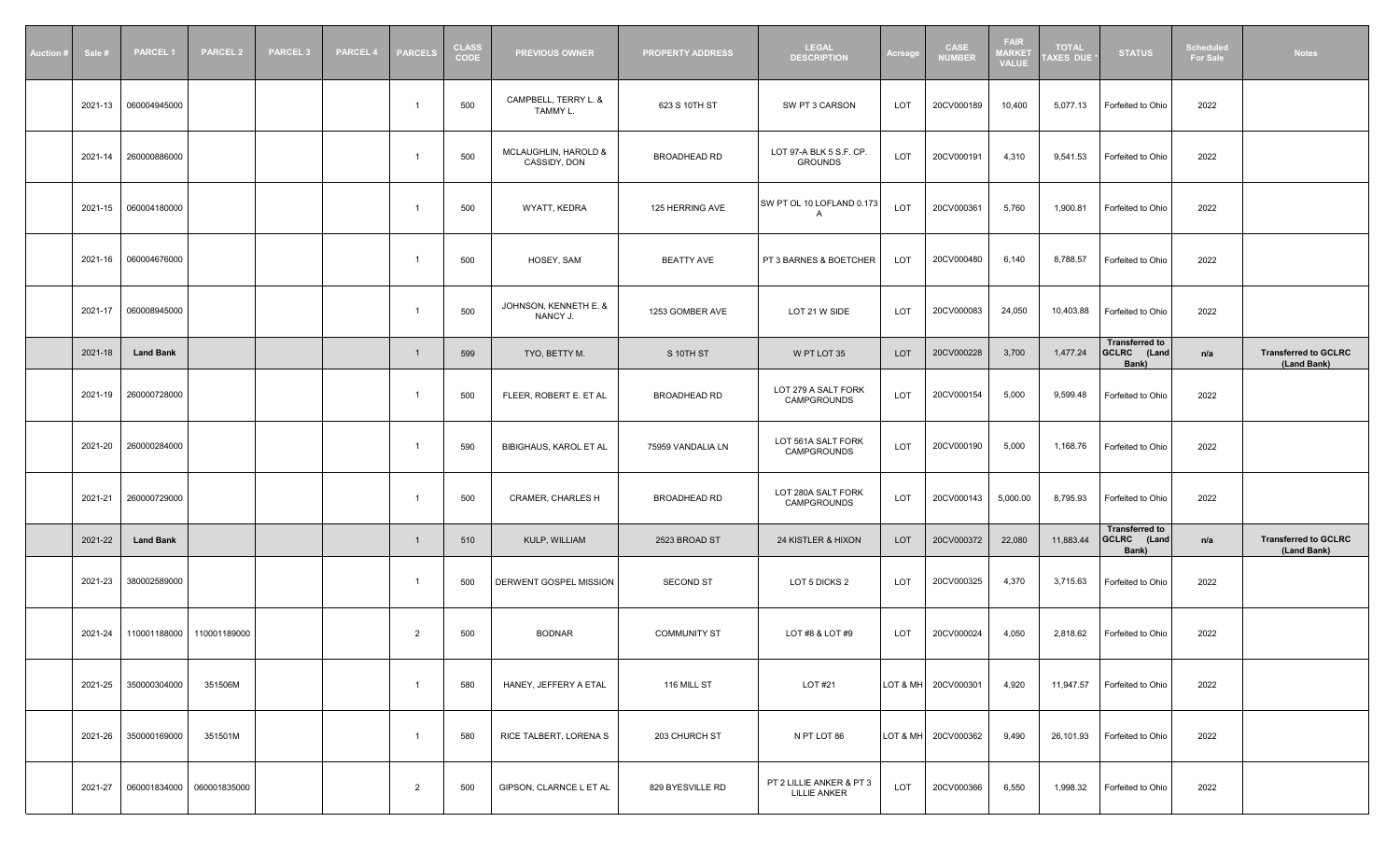| Auction # | Sale #  | <b>PARCEL1</b>   | <b>PARCEL 2</b> | <b>PARCEL 3</b> | <b>PARCEL 4</b> | <b>PARCELS</b> | <b>CLASS</b><br><b>CODE</b> | <b>PREVIOUS OWNER</b>                | <b>PROPERTY ADDRESS</b> | <b>LEGAL</b><br><b>DESCRIPTION</b>              | Acreage    | <b>CASE</b><br><b>NUMBER</b> | <b>FAIR</b><br><b>MARKET</b><br><b>VALUE</b> | <b>TOTAL</b><br><b>AXES DUE</b> | <b>STATUS</b>                                           | <b>Scheduled</b><br><b>For Sale</b> | <b>Notes</b>                               |
|-----------|---------|------------------|-----------------|-----------------|-----------------|----------------|-----------------------------|--------------------------------------|-------------------------|-------------------------------------------------|------------|------------------------------|----------------------------------------------|---------------------------------|---------------------------------------------------------|-------------------------------------|--------------------------------------------|
|           | 2021-13 | 060004945000     |                 |                 |                 |                | 500                         | CAMPBELL, TERRY L. &<br>TAMMY L.     | 623 S 10TH ST           | SW PT 3 CARSON                                  | LOT        | 20CV000189                   | 10,400                                       | 5,077.13                        | Forfeited to Ohio                                       | 2022                                |                                            |
|           | 2021-14 | 260000886000     |                 |                 |                 | - 1            | 500                         | MCLAUGHLIN, HAROLD &<br>CASSIDY, DON | BROADHEAD RD            | LOT 97-A BLK 5 S.F. CP.<br><b>GROUNDS</b>       | LOT        | 20CV000191                   | 4,310                                        | 9,541.53                        | Forfeited to Ohio                                       | 2022                                |                                            |
|           | 2021-15 | 060004180000     |                 |                 |                 | -1             | 500                         | WYATT, KEDRA                         | 125 HERRING AVE         | SW PT OL 10 LOFLAND 0.173<br>A                  | LOT        | 20CV000361                   | 5,760                                        | 1,900.81                        | Forfeited to Ohio                                       | 2022                                |                                            |
|           | 2021-16 | 060004676000     |                 |                 |                 | - 1            | 500                         | HOSEY, SAM                           | <b>BEATTY AVE</b>       | PT 3 BARNES & BOETCHER                          | LOT        | 20CV000480                   | 6,140                                        | 8,788.57                        | Forfeited to Ohio                                       | 2022                                |                                            |
|           | 2021-17 | 060008945000     |                 |                 |                 | -1             | 500                         | JOHNSON, KENNETH E. &<br>NANCY J.    | 1253 GOMBER AVE         | LOT 21 W SIDE                                   | LOT        | 20CV000083                   | 24,050                                       | 10,403.88                       | Forfeited to Ohio                                       | 2022                                |                                            |
|           | 2021-18 | <b>Land Bank</b> |                 |                 |                 | $\overline{1}$ | 599                         | TYO, BETTY M.                        | S 10TH ST               | W PT LOT 35                                     | LOT        | 20CV000228                   | 3,700                                        | 1,477.24                        | <b>Transferred to</b><br>GCLRC (Land<br>Bank)           | n/a                                 | <b>Transferred to GCLRC</b><br>(Land Bank) |
|           | 2021-19 | 260000728000     |                 |                 |                 | -1             | 500                         | FLEER, ROBERT E. ET AL               | BROADHEAD RD            | LOT 279 A SALT FORK<br>CAMPGROUNDS              | <b>LOT</b> | 20CV000154                   | 5,000                                        | 9,599.48                        | Forfeited to Ohio                                       | 2022                                |                                            |
|           | 2021-20 | 260000284000     |                 |                 |                 |                | 590                         | <b>BIBIGHAUS, KAROL ET AL</b>        | 75959 VANDALIA LN       | LOT 561A SALT FORK<br>CAMPGROUNDS               | LOT        | 20CV000190                   | 5,000                                        | 1,168.76                        | Forfeited to Ohio                                       | 2022                                |                                            |
|           | 2021-21 | 260000729000     |                 |                 |                 | $\mathcal{L}$  | 500                         | <b>CRAMER, CHARLES H</b>             | <b>BROADHEAD RD</b>     | LOT 280A SALT FORK<br>CAMPGROUNDS               | LOT        | 20CV000143                   | 5,000.00                                     | 8,795.93                        | Forfeited to Ohio                                       | 2022                                |                                            |
|           | 2021-22 | <b>Land Bank</b> |                 |                 |                 | $\overline{1}$ | 510                         | KULP, WILLIAM                        | 2523 BROAD ST           | 24 KISTLER & HIXON                              | LOT        | 20CV000372                   | 22,080                                       | 11,883.44                       | <b>Transferred to</b><br><b>GCLRC</b><br>(Land<br>Bank) | n/a                                 | <b>Transferred to GCLRC</b><br>(Land Bank) |
|           | 2021-23 | 380002589000     |                 |                 |                 | - 1            | 500                         | DERWENT GOSPEL MISSION               | <b>SECOND ST</b>        | LOT 5 DICKS 2                                   | LOT        | 20CV000325                   | 4,370                                        | 3,715.63                        | Forfeited to Ohio                                       | 2022                                |                                            |
|           | 2021-24 | 110001188000     | 110001189000    |                 |                 | 2              | 500                         | <b>BODNAR</b>                        | <b>COMMUNITY ST</b>     | LOT #8 & LOT #9                                 | LOT        | 20CV000024                   | 4,050                                        | 2,818.62                        | Forfeited to Ohio                                       | 2022                                |                                            |
|           | 2021-25 | 350000304000     | 351506M         |                 |                 | $\overline{1}$ | 580                         | HANEY, JEFFERY A ETAL                | 116 MILL ST             | LOT #21                                         |            | LOT & MH  20CV000301         | 4,920                                        | 11,947.57                       | Forfeited to Ohio                                       | 2022                                |                                            |
|           | 2021-26 | 350000169000     | 351501M         |                 |                 | $\overline{1}$ | 580                         | RICE TALBERT, LORENA S               | 203 CHURCH ST           | N PT LOT 86                                     |            | LOT & MH  20CV000362         | 9,490                                        | 26,101.93                       | Forfeited to Ohio                                       | 2022                                |                                            |
|           | 2021-27 | 060001834000     | 060001835000    |                 |                 | 2              | 500                         | GIPSON, CLARNCE L ET AL              | 829 BYESVILLE RD        | PT 2 LILLIE ANKER & PT 3<br><b>LILLIE ANKER</b> | LOT        | 20CV000366                   | 6,550                                        | 1,998.32                        | Forfeited to Ohio                                       | 2022                                |                                            |